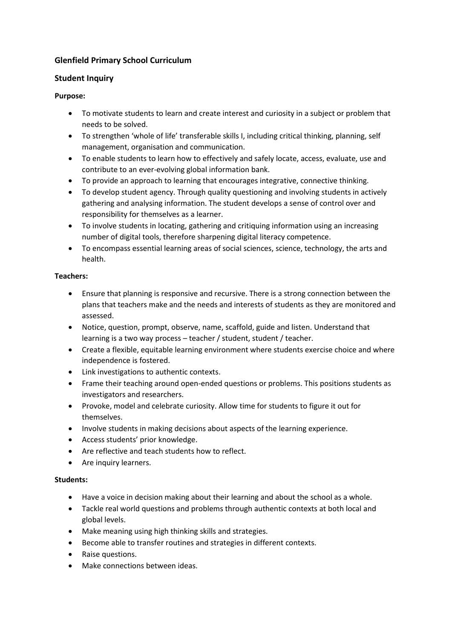# **Glenfield Primary School Curriculum**

## **Student Inquiry**

### **Purpose:**

- To motivate students to learn and create interest and curiosity in a subject or problem that needs to be solved.
- To strengthen 'whole of life' transferable skills I, including critical thinking, planning, self management, organisation and communication.
- To enable students to learn how to effectively and safely locate, access, evaluate, use and contribute to an ever-evolving global information bank.
- To provide an approach to learning that encourages integrative, connective thinking.
- To develop student agency. Through quality questioning and involving students in actively gathering and analysing information. The student develops a sense of control over and responsibility for themselves as a learner.
- To involve students in locating, gathering and critiquing information using an increasing number of digital tools, therefore sharpening digital literacy competence.
- To encompass essential learning areas of social sciences, science, technology, the arts and health.

### **Teachers:**

- Ensure that planning is responsive and recursive. There is a strong connection between the plans that teachers make and the needs and interests of students as they are monitored and assessed.
- Notice, question, prompt, observe, name, scaffold, guide and listen. Understand that learning is a two way process – teacher / student, student / teacher.
- Create a flexible, equitable learning environment where students exercise choice and where independence is fostered.
- Link investigations to authentic contexts.
- Frame their teaching around open-ended questions or problems. This positions students as investigators and researchers.
- Provoke, model and celebrate curiosity. Allow time for students to figure it out for themselves.
- Involve students in making decisions about aspects of the learning experience.
- Access students' prior knowledge.
- Are reflective and teach students how to reflect.
- Are inquiry learners.

### **Students:**

- Have a voice in decision making about their learning and about the school as a whole.
- Tackle real world questions and problems through authentic contexts at both local and global levels.
- Make meaning using high thinking skills and strategies.
- Become able to transfer routines and strategies in different contexts.
- Raise questions.
- Make connections between ideas.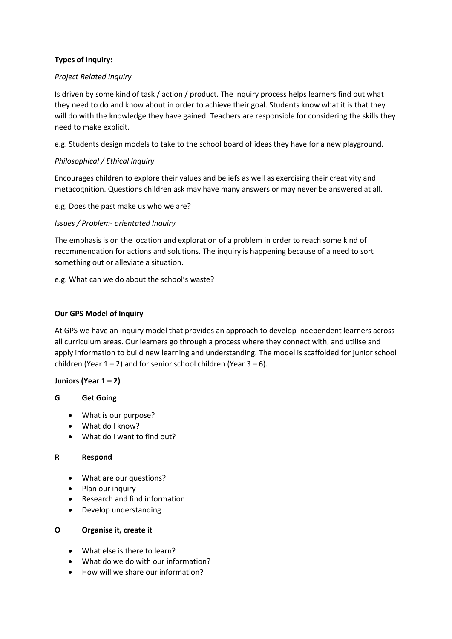## **Types of Inquiry:**

### *Project Related Inquiry*

Is driven by some kind of task / action / product. The inquiry process helps learners find out what they need to do and know about in order to achieve their goal. Students know what it is that they will do with the knowledge they have gained. Teachers are responsible for considering the skills they need to make explicit.

e.g. Students design models to take to the school board of ideas they have for a new playground.

## *Philosophical / Ethical Inquiry*

Encourages children to explore their values and beliefs as well as exercising their creativity and metacognition. Questions children ask may have many answers or may never be answered at all.

e.g. Does the past make us who we are?

### *Issues / Problem- orientated Inquiry*

The emphasis is on the location and exploration of a problem in order to reach some kind of recommendation for actions and solutions. The inquiry is happening because of a need to sort something out or alleviate a situation.

e.g. What can we do about the school's waste?

### **Our GPS Model of Inquiry**

At GPS we have an inquiry model that provides an approach to develop independent learners across all curriculum areas. Our learners go through a process where they connect with, and utilise and apply information to build new learning and understanding. The model is scaffolded for junior school children (Year  $1 - 2$ ) and for senior school children (Year  $3 - 6$ ).

### **Juniors (Year 1 – 2)**

### **G Get Going**

- What is our purpose?
- What do I know?
- What do I want to find out?

#### **R Respond**

- What are our questions?
- Plan our inquiry
- Research and find information
- Develop understanding

#### **O Organise it, create it**

- What else is there to learn?
- What do we do with our information?
- How will we share our information?